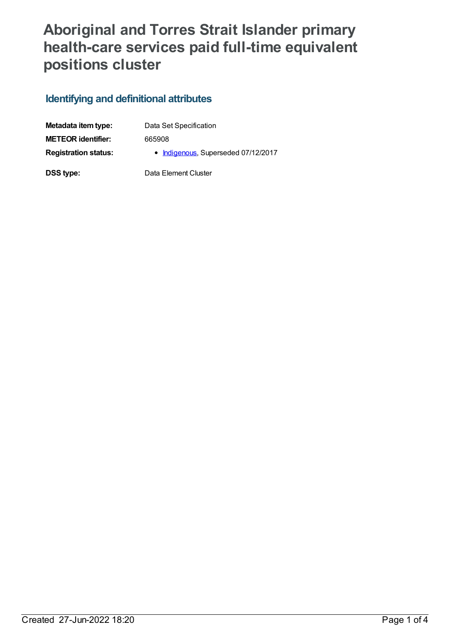## **Aboriginal and Torres Strait Islander primary health-care services paid full-time equivalent positions cluster**

## **Identifying and definitional attributes**

| Metadata item type:         | Data Set Specification              |
|-----------------------------|-------------------------------------|
| <b>METEOR identifier:</b>   | 665908                              |
| <b>Registration status:</b> | • Indigenous, Superseded 07/12/2017 |
| DSS type:                   | Data Element Cluster                |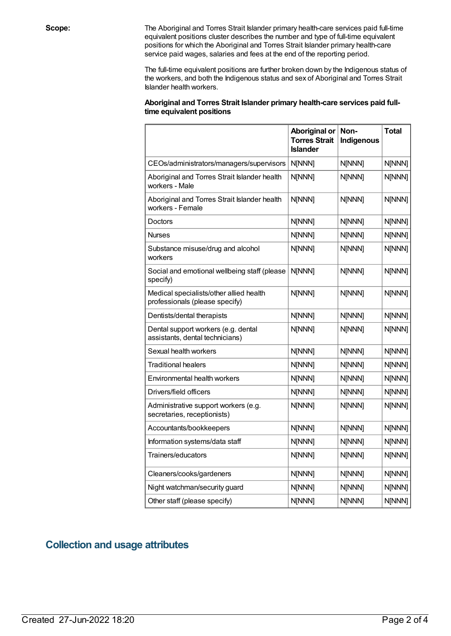**Scope:** The Aboriginal and Torres Strait Islander primary health-care services paid full-time equivalent positions cluster describes the number and type of full-time equivalent positions for which the Aboriginal and Torres Strait Islander primary health-care service paid wages, salaries and fees at the end of the reporting period.

> The full-time equivalent positions are further broken down by the Indigenous status of the workers, and both the Indigenous status and sex of Aboriginal and Torres Strait Islander health workers.

| Aboriginal and Torres Strait Islander primary health-care services paid full- |  |
|-------------------------------------------------------------------------------|--|
| time equivalent positions                                                     |  |

|                                                                           | <b>Aboriginal or</b><br><b>Torres Strait</b><br><b>Islander</b> | Non-<br>Indigenous | <b>Total</b> |
|---------------------------------------------------------------------------|-----------------------------------------------------------------|--------------------|--------------|
| CEOs/administrators/managers/supervisors                                  | N[NNN]                                                          | N[NNN]             | N[NNN]       |
| Aboriginal and Torres Strait Islander health<br>workers - Male            | N[NNN]                                                          | N[NNN]             | N[NNN]       |
| Aboriginal and Torres Strait Islander health<br>workers - Female          | N[NNN]                                                          | N[NNN]             | N[NNN]       |
| Doctors                                                                   | N[NNN]                                                          | N[NNN]             | N[NNN]       |
| Nurses                                                                    | N[NNN]                                                          | N[NNN]             | N[NNN]       |
| Substance misuse/drug and alcohol<br>workers                              | N[NNN]                                                          | N[NNN]             | N[NNN]       |
| Social and emotional wellbeing staff (please<br>specify)                  | N[NNN]                                                          | N[NNN]             | N[NNN]       |
| Medical specialists/other allied health<br>professionals (please specify) | N[NNN]                                                          | N[NNN]             | N[NNN]       |
| Dentists/dental therapists                                                | N[NNN]                                                          | N[NNN]             | N[NNN]       |
| Dental support workers (e.g. dental<br>assistants, dental technicians)    | N[NNN]                                                          | N[NNN]             | N[NNN]       |
| Sexual health workers                                                     | N[NNN]                                                          | N[NNN]             | N[NNN]       |
| <b>Traditional healers</b>                                                | N[NNN]                                                          | N[NNN]             | N[NNN]       |
| Environmental health workers                                              | N[NNN]                                                          | N[NNN]             | N[NNN]       |
| Drivers/field officers                                                    | N[NNN]                                                          | N[NNN]             | N[NNN]       |
| Administrative support workers (e.g.<br>secretaries, receptionists)       | N[NNN]                                                          | N[NNN]             | N[NNN]       |
| Accountants/bookkeepers                                                   | N[NNN]                                                          | N[NNN]             | N[NNN]       |
| Information systems/data staff                                            | N[NNN]                                                          | N[NNN]             | N[NNN]       |
| Trainers/educators                                                        | N[NNN]                                                          | N[NNN]             | N[NNN]       |
| Cleaners/cooks/gardeners                                                  | N[NNN]                                                          | N[NNN]             | N[NNN]       |
| Night watchman/security guard                                             | N[NNN]                                                          | N[NNN]             | N[NNN]       |
| Other staff (please specify)                                              | N[NNN]                                                          | N[NNN]             | N[NNN]       |

## **Collection and usage attributes**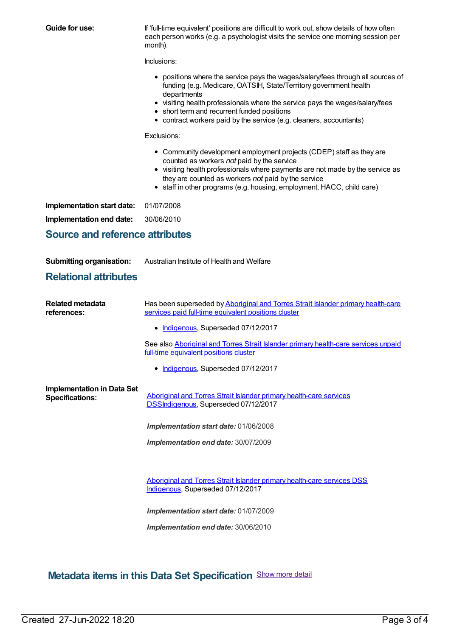| <b>Guide for use:</b>                                       | If 'full-time equivalent' positions are difficult to work out, show details of how often<br>each person works (e.g. a psychologist visits the service one morning session per<br>month).                                                                                                                                                                                  |  |  |  |  |
|-------------------------------------------------------------|---------------------------------------------------------------------------------------------------------------------------------------------------------------------------------------------------------------------------------------------------------------------------------------------------------------------------------------------------------------------------|--|--|--|--|
|                                                             | Inclusions:                                                                                                                                                                                                                                                                                                                                                               |  |  |  |  |
|                                                             | • positions where the service pays the wages/salary/fees through all sources of<br>funding (e.g. Medicare, OATSIH, State/Territory government health<br>departments<br>• visiting health professionals where the service pays the wages/salary/fees<br>• short term and recurrent funded positions<br>• contract workers paid by the service (e.g. cleaners, accountants) |  |  |  |  |
|                                                             | Exclusions:                                                                                                                                                                                                                                                                                                                                                               |  |  |  |  |
|                                                             | • Community development employment projects (CDEP) staff as they are<br>counted as workers not paid by the service<br>• visiting health professionals where payments are not made by the service as<br>they are counted as workers not paid by the service<br>• staff in other programs (e.g. housing, employment, HACC, child care)                                      |  |  |  |  |
| Implementation start date:                                  | 01/07/2008                                                                                                                                                                                                                                                                                                                                                                |  |  |  |  |
| Implementation end date:                                    | 30/06/2010                                                                                                                                                                                                                                                                                                                                                                |  |  |  |  |
| <b>Source and reference attributes</b>                      |                                                                                                                                                                                                                                                                                                                                                                           |  |  |  |  |
|                                                             |                                                                                                                                                                                                                                                                                                                                                                           |  |  |  |  |
| <b>Submitting organisation:</b>                             | Australian Institute of Health and Welfare                                                                                                                                                                                                                                                                                                                                |  |  |  |  |
| <b>Relational attributes</b>                                |                                                                                                                                                                                                                                                                                                                                                                           |  |  |  |  |
| <b>Related metadata</b><br>references:                      | Has been superseded by Aboriginal and Torres Strait Islander primary health-care<br>services paid full-time equivalent positions cluster                                                                                                                                                                                                                                  |  |  |  |  |
|                                                             | Indigenous, Superseded 07/12/2017<br>٠                                                                                                                                                                                                                                                                                                                                    |  |  |  |  |
|                                                             | See also Aboriginal and Torres Strait Islander primary health-care services unpaid<br>full-time equivalent positions cluster                                                                                                                                                                                                                                              |  |  |  |  |
|                                                             | Indigenous, Superseded 07/12/2017                                                                                                                                                                                                                                                                                                                                         |  |  |  |  |
| <b>Implementation in Data Set</b><br><b>Specifications:</b> | Aboriginal and Torres Strait Islander primary health-care services<br>DSSIndigenous, Superseded 07/12/2017                                                                                                                                                                                                                                                                |  |  |  |  |
|                                                             | Implementation start date: 01/06/2008                                                                                                                                                                                                                                                                                                                                     |  |  |  |  |
|                                                             | Implementation end date: 30/07/2009                                                                                                                                                                                                                                                                                                                                       |  |  |  |  |
|                                                             |                                                                                                                                                                                                                                                                                                                                                                           |  |  |  |  |
|                                                             | Aboriginal and Torres Strait Islander primary health-care services DSS<br>Indigenous, Superseded 07/12/2017                                                                                                                                                                                                                                                               |  |  |  |  |
|                                                             | Implementation start date: 01/07/2009                                                                                                                                                                                                                                                                                                                                     |  |  |  |  |
|                                                             |                                                                                                                                                                                                                                                                                                                                                                           |  |  |  |  |

**Metadata items in this Data Set Specification** Show more detail